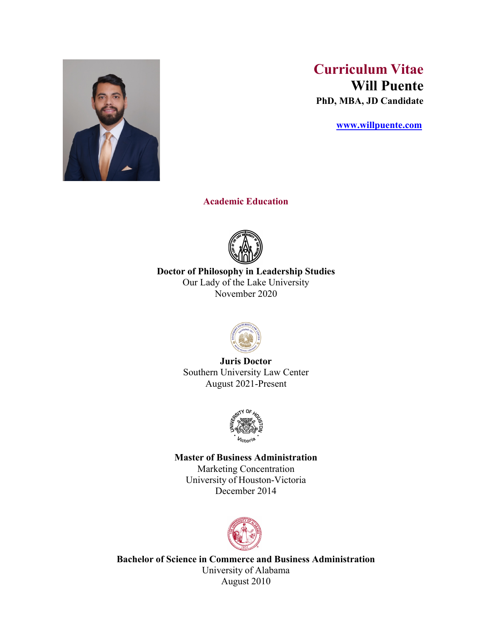

# **Curriculum Vitae Will Puente PhD, MBA, JD Candidate**

 **www.willpuente.com**

**Academic Education**



**Doctor of Philosophy in Leadership Studies** Our Lady of the Lake University November 2020



**Juris Doctor** Southern University Law Center August 2021-Present



## **Master of Business Administration**

Marketing Concentration University of Houston-Victoria December 2014



**Bachelor of Science in Commerce and Business Administration** University of Alabama August 2010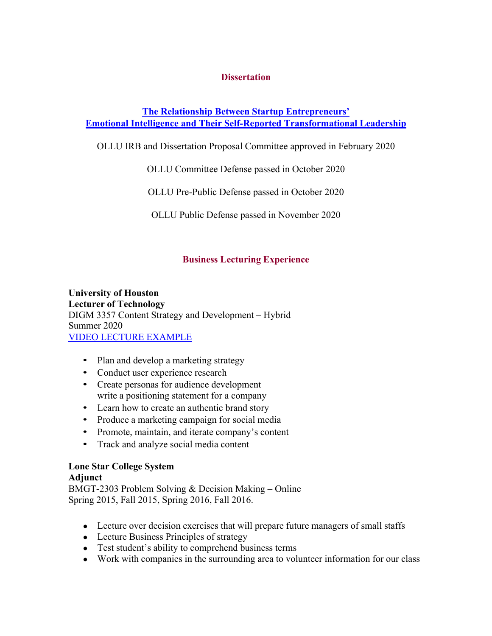## **Dissertation**

## **The Relationship Between Startup Entrepreneurs' Emotional Intelligence and Their Self-Reported Transformational Leadership**

OLLU IRB and Dissertation Proposal Committee approved in February 2020

OLLU Committee Defense passed in October 2020

OLLU Pre-Public Defense passed in October 2020

OLLU Public Defense passed in November 2020

## **Business Lecturing Experience**

**University of Houston Lecturer of Technology** DIGM 3357 Content Strategy and Development – Hybrid Summer 2020 VIDEO LECTURE EXAMPLE

- Plan and develop a marketing strategy
- Conduct user experience research
- Create personas for audience development write a positioning statement for a company
- Learn how to create an authentic brand story
- Produce a marketing campaign for social media
- Promote, maintain, and iterate company's content
- Track and analyze social media content

## **Lone Star College System**

## **Adjunct**

BMGT-2303 Problem Solving & Decision Making – Online Spring 2015, Fall 2015, Spring 2016, Fall 2016.

- Lecture over decision exercises that will prepare future managers of small staffs
- Lecture Business Principles of strategy
- Test student's ability to comprehend business terms
- Work with companies in the surrounding area to volunteer information for our class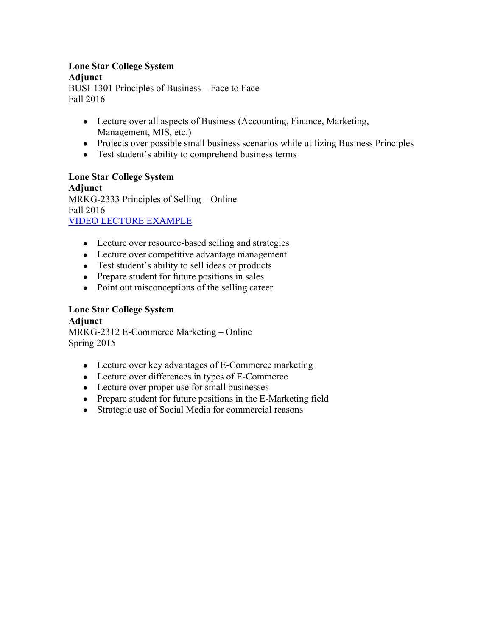# **Lone Star College System**

**Adjunct**

BUSI-1301 Principles of Business – Face to Face Fall 2016

- Lecture over all aspects of Business (Accounting, Finance, Marketing, Management, MIS, etc.)
- Projects over possible small business scenarios while utilizing Business Principles
- Test student's ability to comprehend business terms

**Lone Star College System Adjunct** MRKG-2333 Principles of Selling – Online Fall 2016 VIDEO LECTURE EXAMPLE

- Lecture over resource-based selling and strategies
- Lecture over competitive advantage management
- Test student's ability to sell ideas or products
- Prepare student for future positions in sales
- Point out misconceptions of the selling career

## **Lone Star College System**

**Adjunct** MRKG-2312 E-Commerce Marketing – Online Spring 2015

- Lecture over key advantages of E-Commerce marketing
- Lecture over differences in types of E-Commerce
- Lecture over proper use for small businesses
- Prepare student for future positions in the E-Marketing field
- Strategic use of Social Media for commercial reasons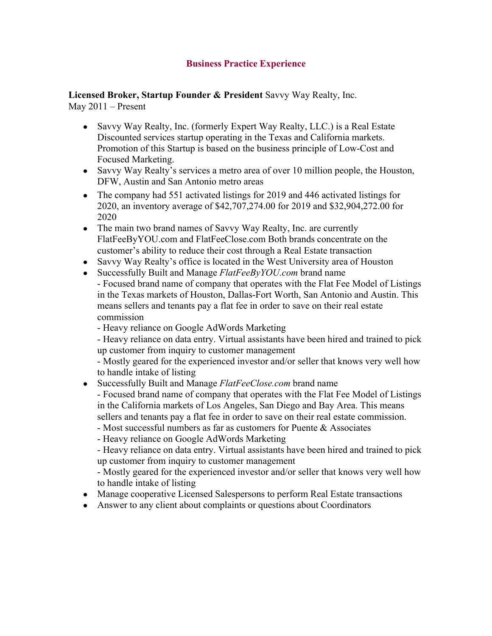## **Business Practice Experience**

**Licensed Broker, Startup Founder & President** Savvy Way Realty, Inc. May 2011 – Present

- Savvy Way Realty, Inc. (formerly Expert Way Realty, LLC.) is a Real Estate Discounted services startup operating in the Texas and California markets. Promotion of this Startup is based on the business principle of Low-Cost and Focused Marketing.
- Savvy Way Realty's services a metro area of over 10 million people, the Houston, DFW, Austin and San Antonio metro areas
- The company had 551 activated listings for 2019 and 446 activated listings for 2020, an inventory average of \$42,707,274.00 for 2019 and \$32,904,272.00 for 2020
- The main two brand names of Savvy Way Realty, Inc. are currently FlatFeeByYOU.com and FlatFeeClose.com Both brands concentrate on the customer's ability to reduce their cost through a Real Estate transaction
- Savvy Way Realty's office is located in the West University area of Houston
- Successfully Built and Manage *FlatFeeByYOU.com* brand name - Focused brand name of company that operates with the Flat Fee Model of Listings in the Texas markets of Houston, Dallas-Fort Worth, San Antonio and Austin. This means sellers and tenants pay a flat fee in order to save on their real estate commission
	- Heavy reliance on Google AdWords Marketing

- Heavy reliance on data entry. Virtual assistants have been hired and trained to pick up customer from inquiry to customer management

- Mostly geared for the experienced investor and/or seller that knows very well how to handle intake of listing

● Successfully Built and Manage *FlatFeeClose.com* brand name

- Focused brand name of company that operates with the Flat Fee Model of Listings in the California markets of Los Angeles, San Diego and Bay Area. This means sellers and tenants pay a flat fee in order to save on their real estate commission.

- Most successful numbers as far as customers for Puente & Associates
- Heavy reliance on Google AdWords Marketing

- Heavy reliance on data entry. Virtual assistants have been hired and trained to pick up customer from inquiry to customer management

- Mostly geared for the experienced investor and/or seller that knows very well how to handle intake of listing

- Manage cooperative Licensed Salespersons to perform Real Estate transactions
- Answer to any client about complaints or questions about Coordinators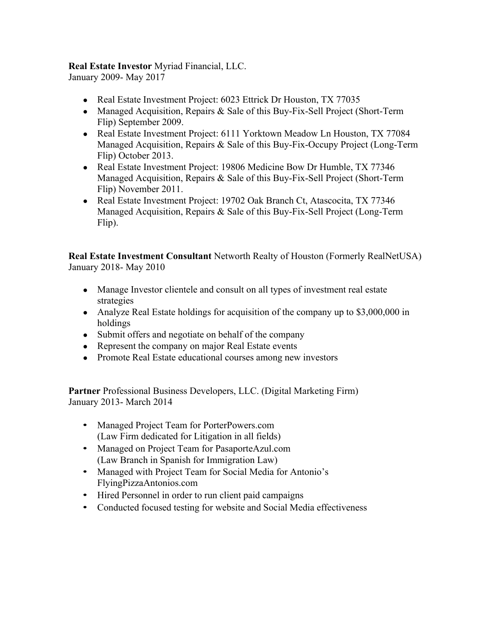## **Real Estate Investor** Myriad Financial, LLC.

January 2009- May 2017

- Real Estate Investment Project: 6023 Ettrick Dr Houston, TX 77035
- Managed Acquisition, Repairs & Sale of this Buy-Fix-Sell Project (Short-Term Flip) September 2009.
- Real Estate Investment Project: 6111 Yorktown Meadow Ln Houston, TX 77084 Managed Acquisition, Repairs & Sale of this Buy-Fix-Occupy Project (Long-Term Flip) October 2013.
- Real Estate Investment Project: 19806 Medicine Bow Dr Humble, TX 77346 Managed Acquisition, Repairs & Sale of this Buy-Fix-Sell Project (Short-Term Flip) November 2011.
- Real Estate Investment Project: 19702 Oak Branch Ct, Atascocita, TX 77346 Managed Acquisition, Repairs & Sale of this Buy-Fix-Sell Project (Long-Term Flip).

**Real Estate Investment Consultant** Networth Realty of Houston (Formerly RealNetUSA) January 2018- May 2010

- Manage Investor clientele and consult on all types of investment real estate strategies
- Analyze Real Estate holdings for acquisition of the company up to \$3,000,000 in holdings
- Submit offers and negotiate on behalf of the company
- Represent the company on major Real Estate events
- Promote Real Estate educational courses among new investors

**Partner** Professional Business Developers, LLC. (Digital Marketing Firm) January 2013- March 2014

- Managed Project Team for PorterPowers.com (Law Firm dedicated for Litigation in all fields)
- Managed on Project Team for PasaporteAzul.com (Law Branch in Spanish for Immigration Law)
- Managed with Project Team for Social Media for Antonio's FlyingPizzaAntonios.com
- Hired Personnel in order to run client paid campaigns
- Conducted focused testing for website and Social Media effectiveness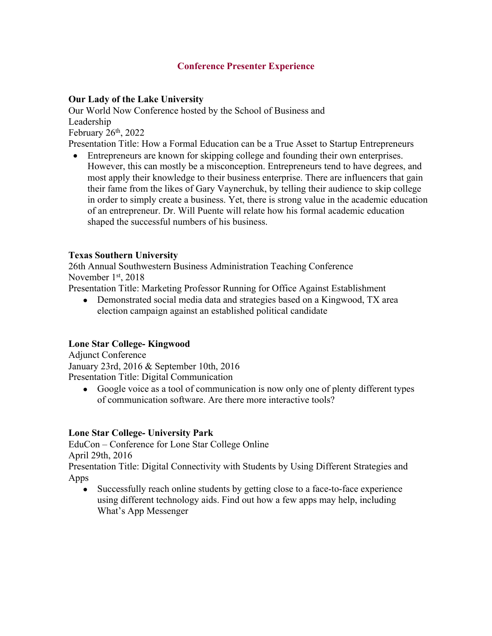## **Conference Presenter Experience**

## **Our Lady of the Lake University**

Our World Now Conference hosted by the School of Business and Leadership February  $26<sup>th</sup>$ ,  $2022$ 

Presentation Title: How a Formal Education can be a True Asset to Startup Entrepreneurs

• Entrepreneurs are known for skipping college and founding their own enterprises. However, this can mostly be a misconception. Entrepreneurs tend to have degrees, and most apply their knowledge to their business enterprise. There are influencers that gain their fame from the likes of Gary Vaynerchuk, by telling their audience to skip college in order to simply create a business. Yet, there is strong value in the academic education of an entrepreneur. Dr. Will Puente will relate how his formal academic education shaped the successful numbers of his business.

### **Texas Southern University**

26th Annual Southwestern Business Administration Teaching Conference November  $1<sup>st</sup>$ , 2018

Presentation Title: Marketing Professor Running for Office Against Establishment

• Demonstrated social media data and strategies based on a Kingwood, TX area election campaign against an established political candidate

### **Lone Star College- Kingwood**

Adjunct Conference January 23rd, 2016 & September 10th, 2016 Presentation Title: Digital Communication

• Google voice as a tool of communication is now only one of plenty different types of communication software. Are there more interactive tools?

### **Lone Star College- University Park**

EduCon – Conference for Lone Star College Online April 29th, 2016

Presentation Title: Digital Connectivity with Students by Using Different Strategies and Apps

• Successfully reach online students by getting close to a face-to-face experience using different technology aids. Find out how a few apps may help, including What's App Messenger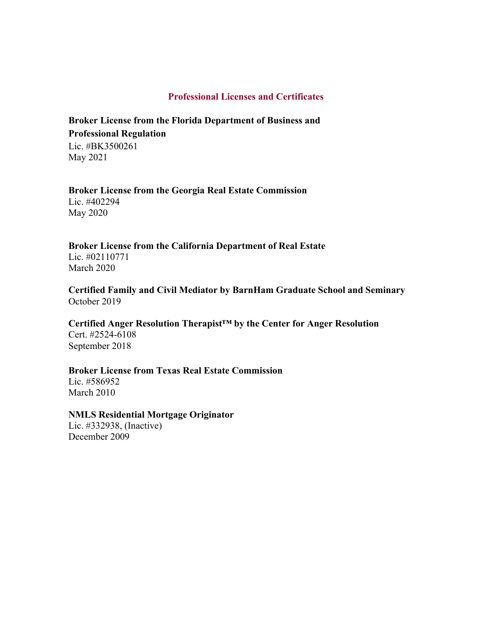## **Professional Licenses and Certificates**

## **Broker License from the Florida Department of Business and Professional Regulation** Lic. #BK3500261

May 2021

#### **Broker License from the Georgia Real Estate Commission** Lic. #402294

May 2020

# **Broker License from the California Department of Real Estate**

Lic. #02110771 March 2020

## **Certified Family and Civil Mediator by BarnHam Graduate School and Seminary** October 2019

## **Certified Anger Resolution Therapist™ by the Center for Anger Resolution** Cert. #2524-6108

September 2018

## **Broker License from Texas Real Estate Commission**

Lic. #586952 March 2010

### **NMLS Residential Mortgage Originator**

Lic. #332938, (Inactive) December 2009